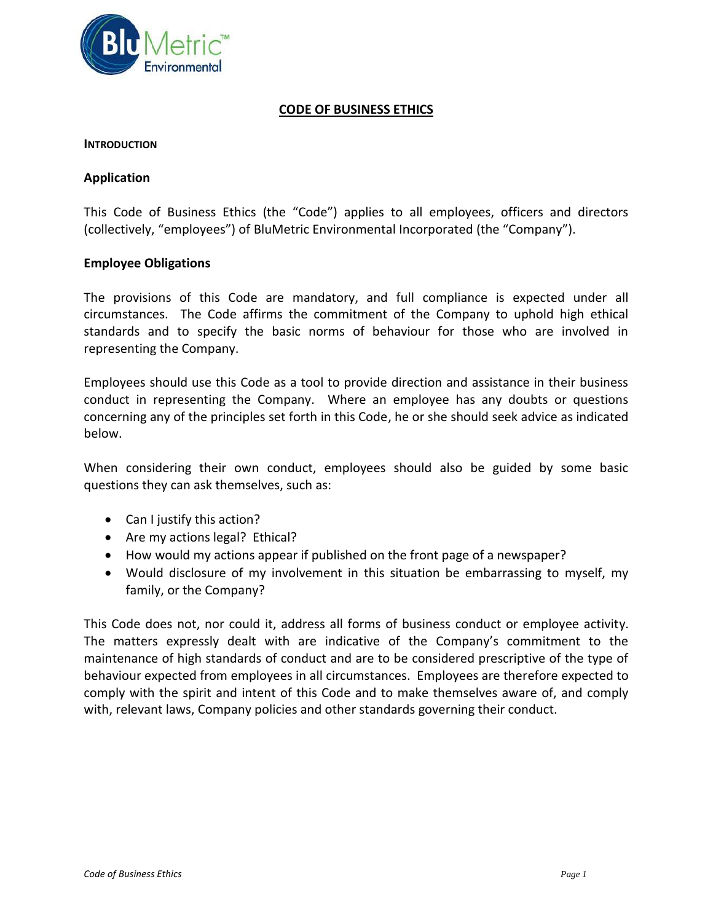

### **CODE OF BUSINESS ETHICS**

#### **INTRODUCTION**

### **Application**

This Code of Business Ethics (the "Code") applies to all employees, officers and directors (collectively, "employees") of BluMetric Environmental Incorporated (the "Company").

### **Employee Obligations**

The provisions of this Code are mandatory, and full compliance is expected under all circumstances. The Code affirms the commitment of the Company to uphold high ethical standards and to specify the basic norms of behaviour for those who are involved in representing the Company.

Employees should use this Code as a tool to provide direction and assistance in their business conduct in representing the Company. Where an employee has any doubts or questions concerning any of the principles set forth in this Code, he or she should seek advice as indicated below.

When considering their own conduct, employees should also be guided by some basic questions they can ask themselves, such as:

- Can I justify this action?
- Are my actions legal? Ethical?
- How would my actions appear if published on the front page of a newspaper?
- Would disclosure of my involvement in this situation be embarrassing to myself, my family, or the Company?

This Code does not, nor could it, address all forms of business conduct or employee activity. The matters expressly dealt with are indicative of the Company's commitment to the maintenance of high standards of conduct and are to be considered prescriptive of the type of behaviour expected from employees in all circumstances. Employees are therefore expected to comply with the spirit and intent of this Code and to make themselves aware of, and comply with, relevant laws, Company policies and other standards governing their conduct.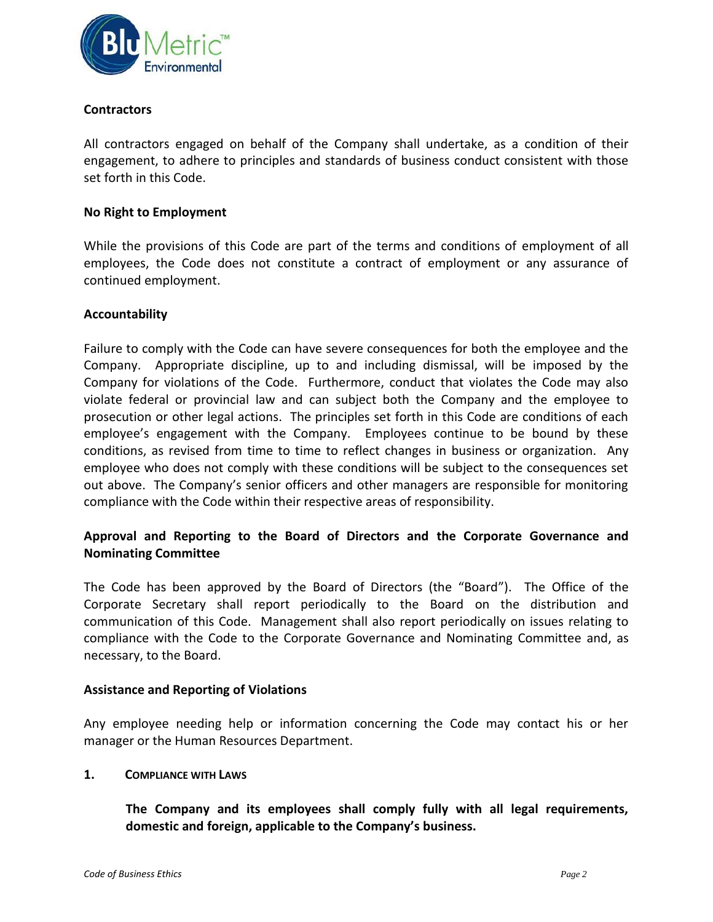

### **Contractors**

All contractors engaged on behalf of the Company shall undertake, as a condition of their engagement, to adhere to principles and standards of business conduct consistent with those set forth in this Code.

### **No Right to Employment**

While the provisions of this Code are part of the terms and conditions of employment of all employees, the Code does not constitute a contract of employment or any assurance of continued employment.

### **Accountability**

Failure to comply with the Code can have severe consequences for both the employee and the Company. Appropriate discipline, up to and including dismissal, will be imposed by the Company for violations of the Code. Furthermore, conduct that violates the Code may also violate federal or provincial law and can subject both the Company and the employee to prosecution or other legal actions. The principles set forth in this Code are conditions of each employee's engagement with the Company. Employees continue to be bound by these conditions, as revised from time to time to reflect changes in business or organization. Any employee who does not comply with these conditions will be subject to the consequences set out above. The Company's senior officers and other managers are responsible for monitoring compliance with the Code within their respective areas of responsibility.

# **Approval and Reporting to the Board of Directors and the Corporate Governance and Nominating Committee**

The Code has been approved by the Board of Directors (the "Board"). The Office of the Corporate Secretary shall report periodically to the Board on the distribution and communication of this Code. Management shall also report periodically on issues relating to compliance with the Code to the Corporate Governance and Nominating Committee and, as necessary, to the Board.

### **Assistance and Reporting of Violations**

Any employee needing help or information concerning the Code may contact his or her manager or the Human Resources Department.

### **1. COMPLIANCE WITH LAWS**

**The Company and its employees shall comply fully with all legal requirements, domestic and foreign, applicable to the Company's business.**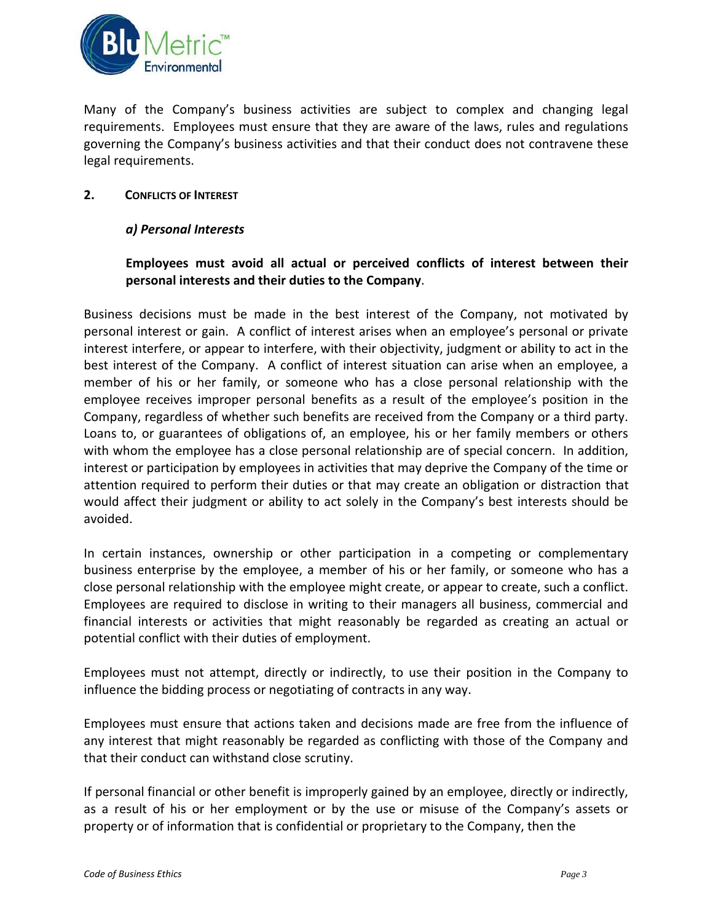

Many of the Company's business activities are subject to complex and changing legal requirements. Employees must ensure that they are aware of the laws, rules and regulations governing the Company's business activities and that their conduct does not contravene these legal requirements.

### **2. CONFLICTS OF INTEREST**

### *a) Personal Interests*

### **Employees must avoid all actual or perceived conflicts of interest between their personal interests and their duties to the Company**.

Business decisions must be made in the best interest of the Company, not motivated by personal interest or gain. A conflict of interest arises when an employee's personal or private interest interfere, or appear to interfere, with their objectivity, judgment or ability to act in the best interest of the Company. A conflict of interest situation can arise when an employee, a member of his or her family, or someone who has a close personal relationship with the employee receives improper personal benefits as a result of the employee's position in the Company, regardless of whether such benefits are received from the Company or a third party. Loans to, or guarantees of obligations of, an employee, his or her family members or others with whom the employee has a close personal relationship are of special concern. In addition, interest or participation by employees in activities that may deprive the Company of the time or attention required to perform their duties or that may create an obligation or distraction that would affect their judgment or ability to act solely in the Company's best interests should be avoided.

In certain instances, ownership or other participation in a competing or complementary business enterprise by the employee, a member of his or her family, or someone who has a close personal relationship with the employee might create, or appear to create, such a conflict. Employees are required to disclose in writing to their managers all business, commercial and financial interests or activities that might reasonably be regarded as creating an actual or potential conflict with their duties of employment.

Employees must not attempt, directly or indirectly, to use their position in the Company to influence the bidding process or negotiating of contracts in any way.

Employees must ensure that actions taken and decisions made are free from the influence of any interest that might reasonably be regarded as conflicting with those of the Company and that their conduct can withstand close scrutiny.

If personal financial or other benefit is improperly gained by an employee, directly or indirectly, as a result of his or her employment or by the use or misuse of the Company's assets or property or of information that is confidential or proprietary to the Company, then the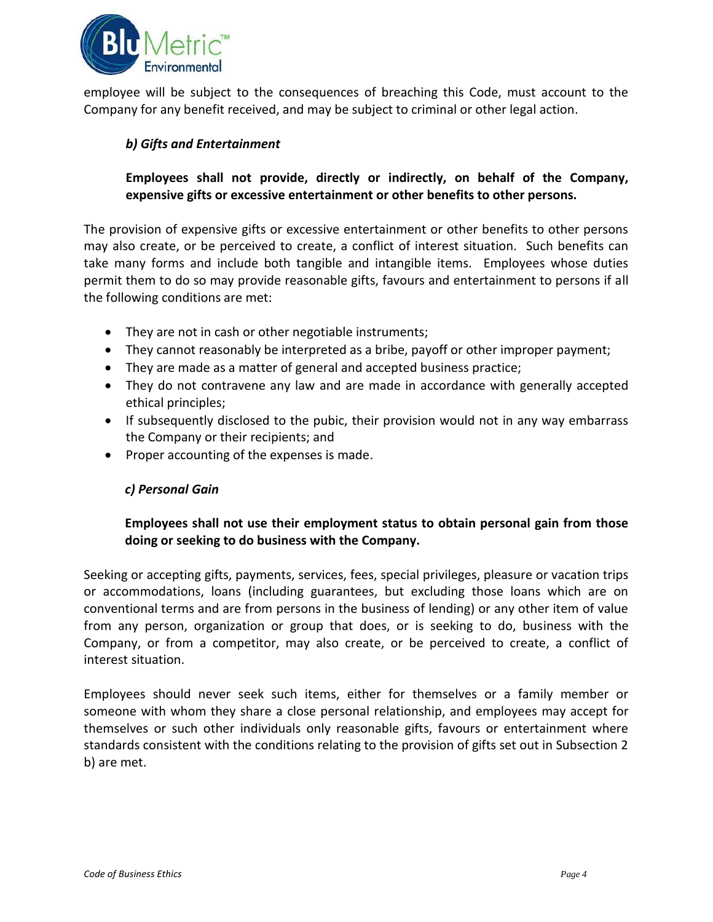

employee will be subject to the consequences of breaching this Code, must account to the Company for any benefit received, and may be subject to criminal or other legal action.

# *b) Gifts and Entertainment*

# **Employees shall not provide, directly or indirectly, on behalf of the Company, expensive gifts or excessive entertainment or other benefits to other persons.**

The provision of expensive gifts or excessive entertainment or other benefits to other persons may also create, or be perceived to create, a conflict of interest situation. Such benefits can take many forms and include both tangible and intangible items. Employees whose duties permit them to do so may provide reasonable gifts, favours and entertainment to persons if all the following conditions are met:

- They are not in cash or other negotiable instruments;
- They cannot reasonably be interpreted as a bribe, payoff or other improper payment;
- They are made as a matter of general and accepted business practice;
- They do not contravene any law and are made in accordance with generally accepted ethical principles;
- If subsequently disclosed to the pubic, their provision would not in any way embarrass the Company or their recipients; and
- Proper accounting of the expenses is made.

# *c) Personal Gain*

# **Employees shall not use their employment status to obtain personal gain from those doing or seeking to do business with the Company.**

Seeking or accepting gifts, payments, services, fees, special privileges, pleasure or vacation trips or accommodations, loans (including guarantees, but excluding those loans which are on conventional terms and are from persons in the business of lending) or any other item of value from any person, organization or group that does, or is seeking to do, business with the Company, or from a competitor, may also create, or be perceived to create, a conflict of interest situation.

Employees should never seek such items, either for themselves or a family member or someone with whom they share a close personal relationship, and employees may accept for themselves or such other individuals only reasonable gifts, favours or entertainment where standards consistent with the conditions relating to the provision of gifts set out in Subsection 2 b) are met.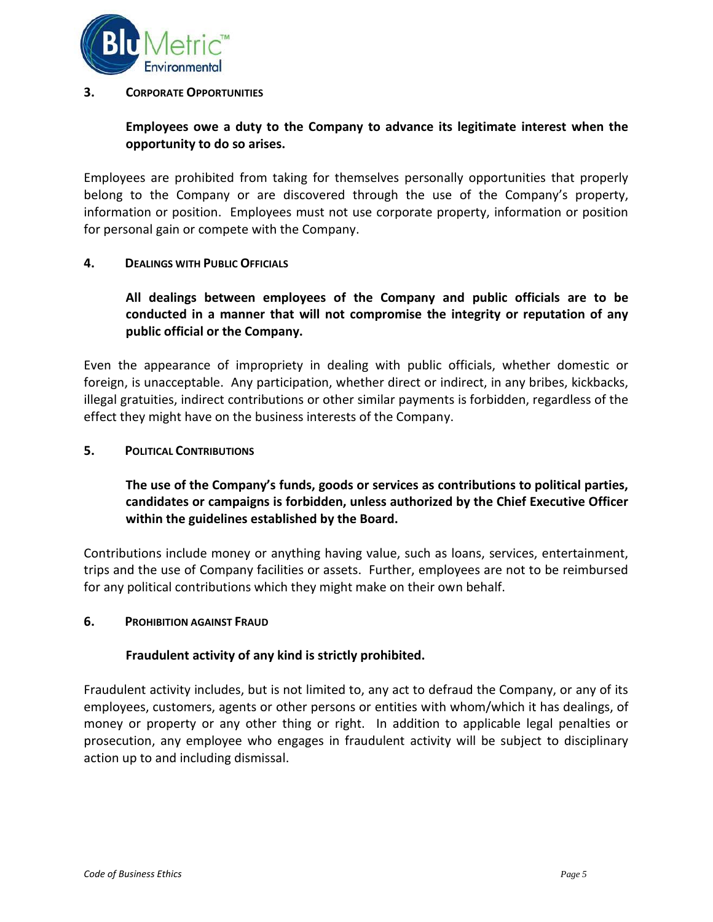

#### **3. CORPORATE OPPORTUNITIES**

# **Employees owe a duty to the Company to advance its legitimate interest when the opportunity to do so arises.**

Employees are prohibited from taking for themselves personally opportunities that properly belong to the Company or are discovered through the use of the Company's property, information or position. Employees must not use corporate property, information or position for personal gain or compete with the Company.

#### **4. DEALINGS WITH PUBLIC OFFICIALS**

# **All dealings between employees of the Company and public officials are to be conducted in a manner that will not compromise the integrity or reputation of any public official or the Company.**

Even the appearance of impropriety in dealing with public officials, whether domestic or foreign, is unacceptable. Any participation, whether direct or indirect, in any bribes, kickbacks, illegal gratuities, indirect contributions or other similar payments is forbidden, regardless of the effect they might have on the business interests of the Company.

#### **5. POLITICAL CONTRIBUTIONS**

# **The use of the Company's funds, goods or services as contributions to political parties, candidates or campaigns is forbidden, unless authorized by the Chief Executive Officer within the guidelines established by the Board.**

Contributions include money or anything having value, such as loans, services, entertainment, trips and the use of Company facilities or assets. Further, employees are not to be reimbursed for any political contributions which they might make on their own behalf.

#### **6. PROHIBITION AGAINST FRAUD**

### **Fraudulent activity of any kind is strictly prohibited.**

Fraudulent activity includes, but is not limited to, any act to defraud the Company, or any of its employees, customers, agents or other persons or entities with whom/which it has dealings, of money or property or any other thing or right. In addition to applicable legal penalties or prosecution, any employee who engages in fraudulent activity will be subject to disciplinary action up to and including dismissal.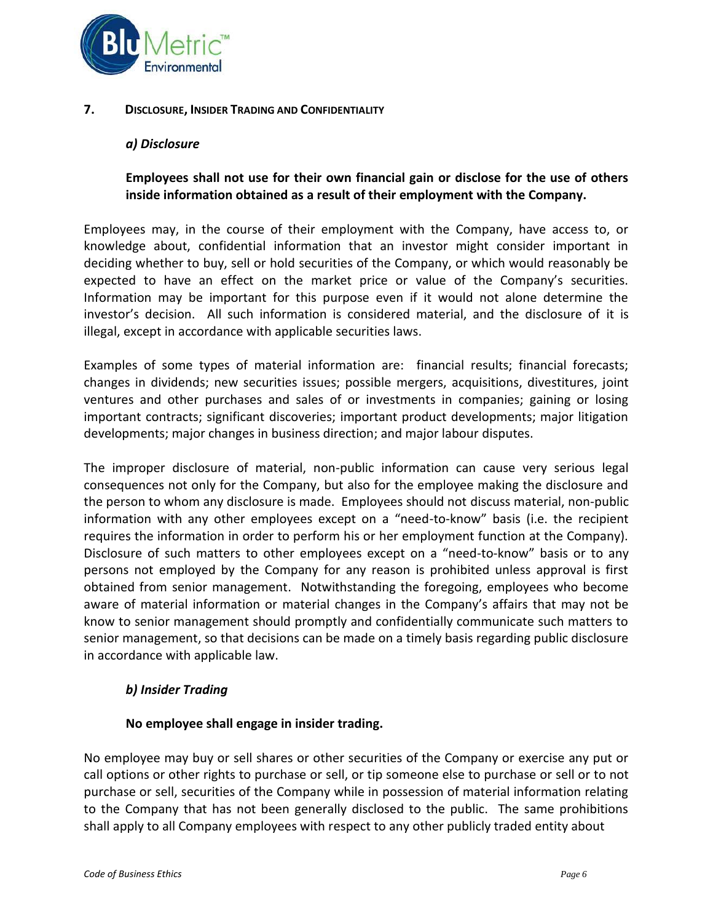

### **7. DISCLOSURE, INSIDER TRADING AND CONFIDENTIALITY**

### *a) Disclosure*

### **Employees shall not use for their own financial gain or disclose for the use of others inside information obtained as a result of their employment with the Company.**

Employees may, in the course of their employment with the Company, have access to, or knowledge about, confidential information that an investor might consider important in deciding whether to buy, sell or hold securities of the Company, or which would reasonably be expected to have an effect on the market price or value of the Company's securities. Information may be important for this purpose even if it would not alone determine the investor's decision. All such information is considered material, and the disclosure of it is illegal, except in accordance with applicable securities laws.

Examples of some types of material information are: financial results; financial forecasts; changes in dividends; new securities issues; possible mergers, acquisitions, divestitures, joint ventures and other purchases and sales of or investments in companies; gaining or losing important contracts; significant discoveries; important product developments; major litigation developments; major changes in business direction; and major labour disputes.

The improper disclosure of material, non-public information can cause very serious legal consequences not only for the Company, but also for the employee making the disclosure and the person to whom any disclosure is made. Employees should not discuss material, non-public information with any other employees except on a "need-to-know" basis (i.e. the recipient requires the information in order to perform his or her employment function at the Company). Disclosure of such matters to other employees except on a "need-to-know" basis or to any persons not employed by the Company for any reason is prohibited unless approval is first obtained from senior management. Notwithstanding the foregoing, employees who become aware of material information or material changes in the Company's affairs that may not be know to senior management should promptly and confidentially communicate such matters to senior management, so that decisions can be made on a timely basis regarding public disclosure in accordance with applicable law.

### *b) Insider Trading*

### **No employee shall engage in insider trading.**

No employee may buy or sell shares or other securities of the Company or exercise any put or call options or other rights to purchase or sell, or tip someone else to purchase or sell or to not purchase or sell, securities of the Company while in possession of material information relating to the Company that has not been generally disclosed to the public. The same prohibitions shall apply to all Company employees with respect to any other publicly traded entity about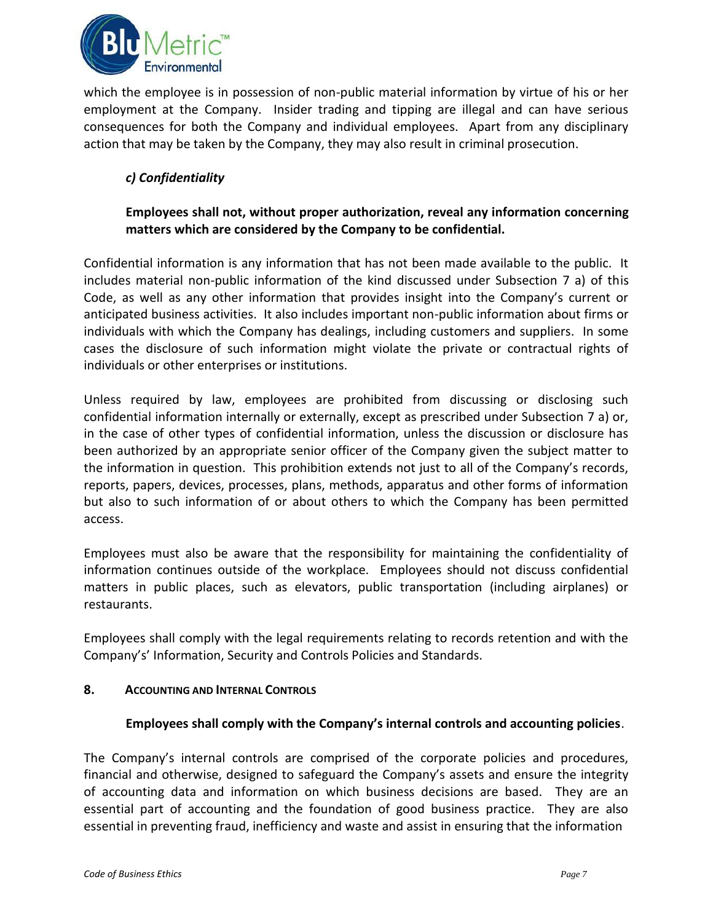

which the employee is in possession of non-public material information by virtue of his or her employment at the Company. Insider trading and tipping are illegal and can have serious consequences for both the Company and individual employees. Apart from any disciplinary action that may be taken by the Company, they may also result in criminal prosecution.

# *c) Confidentiality*

# **Employees shall not, without proper authorization, reveal any information concerning matters which are considered by the Company to be confidential.**

Confidential information is any information that has not been made available to the public. It includes material non-public information of the kind discussed under Subsection 7 a) of this Code, as well as any other information that provides insight into the Company's current or anticipated business activities. It also includes important non-public information about firms or individuals with which the Company has dealings, including customers and suppliers. In some cases the disclosure of such information might violate the private or contractual rights of individuals or other enterprises or institutions.

Unless required by law, employees are prohibited from discussing or disclosing such confidential information internally or externally, except as prescribed under Subsection 7 a) or, in the case of other types of confidential information, unless the discussion or disclosure has been authorized by an appropriate senior officer of the Company given the subject matter to the information in question. This prohibition extends not just to all of the Company's records, reports, papers, devices, processes, plans, methods, apparatus and other forms of information but also to such information of or about others to which the Company has been permitted access.

Employees must also be aware that the responsibility for maintaining the confidentiality of information continues outside of the workplace. Employees should not discuss confidential matters in public places, such as elevators, public transportation (including airplanes) or restaurants.

Employees shall comply with the legal requirements relating to records retention and with the Company's' Information, Security and Controls Policies and Standards.

### **8. ACCOUNTING AND INTERNAL CONTROLS**

# **Employees shall comply with the Company's internal controls and accounting policies**.

The Company's internal controls are comprised of the corporate policies and procedures, financial and otherwise, designed to safeguard the Company's assets and ensure the integrity of accounting data and information on which business decisions are based. They are an essential part of accounting and the foundation of good business practice. They are also essential in preventing fraud, inefficiency and waste and assist in ensuring that the information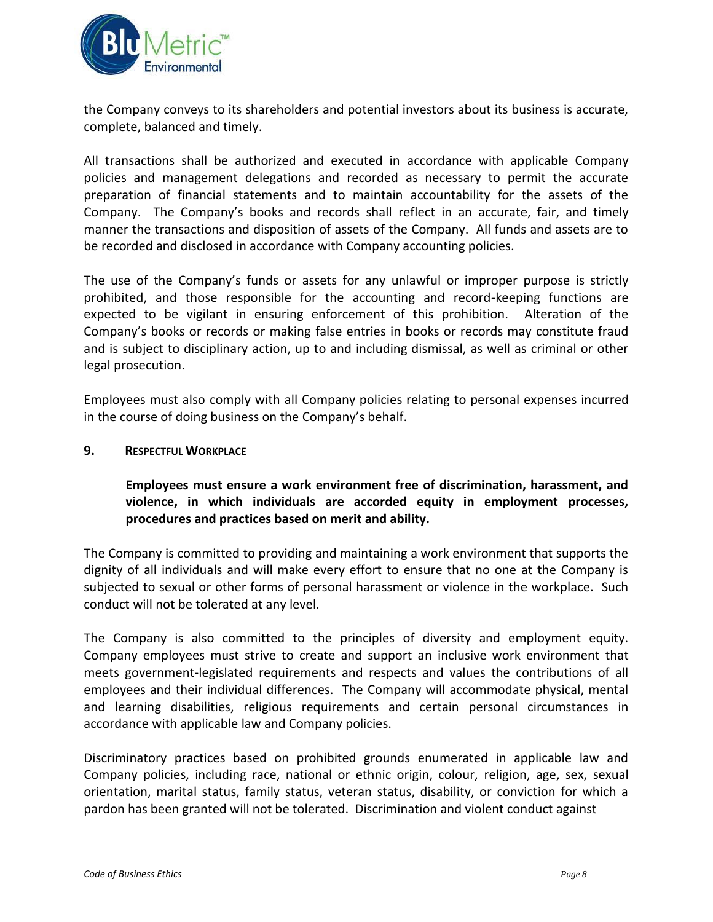

the Company conveys to its shareholders and potential investors about its business is accurate, complete, balanced and timely.

All transactions shall be authorized and executed in accordance with applicable Company policies and management delegations and recorded as necessary to permit the accurate preparation of financial statements and to maintain accountability for the assets of the Company. The Company's books and records shall reflect in an accurate, fair, and timely manner the transactions and disposition of assets of the Company. All funds and assets are to be recorded and disclosed in accordance with Company accounting policies.

The use of the Company's funds or assets for any unlawful or improper purpose is strictly prohibited, and those responsible for the accounting and record-keeping functions are expected to be vigilant in ensuring enforcement of this prohibition. Alteration of the Company's books or records or making false entries in books or records may constitute fraud and is subject to disciplinary action, up to and including dismissal, as well as criminal or other legal prosecution.

Employees must also comply with all Company policies relating to personal expenses incurred in the course of doing business on the Company's behalf.

#### **9. RESPECTFUL WORKPLACE**

# **Employees must ensure a work environment free of discrimination, harassment, and violence, in which individuals are accorded equity in employment processes, procedures and practices based on merit and ability.**

The Company is committed to providing and maintaining a work environment that supports the dignity of all individuals and will make every effort to ensure that no one at the Company is subjected to sexual or other forms of personal harassment or violence in the workplace. Such conduct will not be tolerated at any level.

The Company is also committed to the principles of diversity and employment equity. Company employees must strive to create and support an inclusive work environment that meets government-legislated requirements and respects and values the contributions of all employees and their individual differences. The Company will accommodate physical, mental and learning disabilities, religious requirements and certain personal circumstances in accordance with applicable law and Company policies.

Discriminatory practices based on prohibited grounds enumerated in applicable law and Company policies, including race, national or ethnic origin, colour, religion, age, sex, sexual orientation, marital status, family status, veteran status, disability, or conviction for which a pardon has been granted will not be tolerated. Discrimination and violent conduct against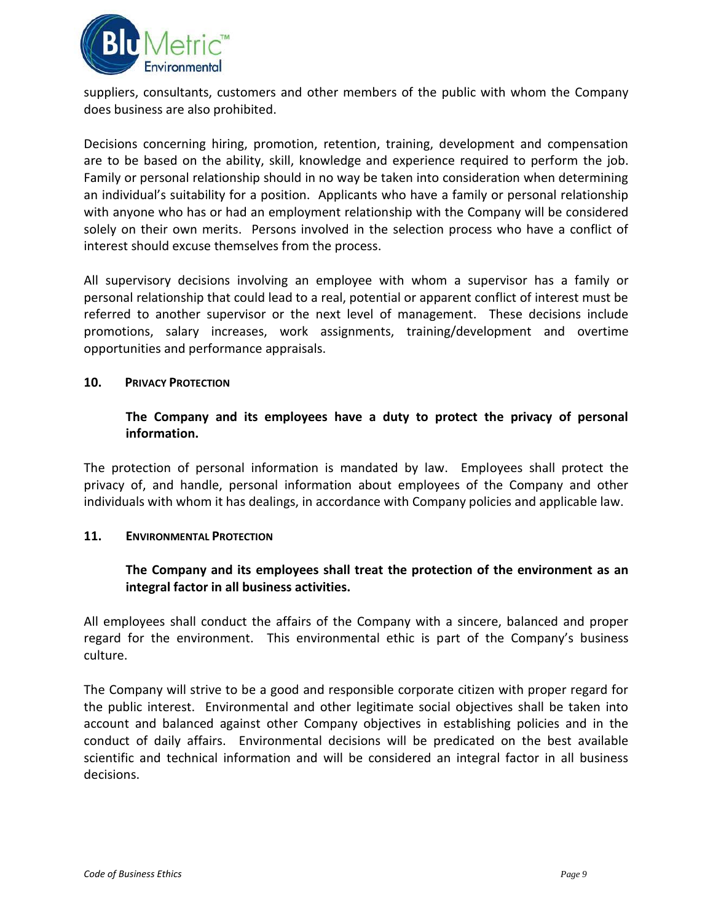

suppliers, consultants, customers and other members of the public with whom the Company does business are also prohibited.

Decisions concerning hiring, promotion, retention, training, development and compensation are to be based on the ability, skill, knowledge and experience required to perform the job. Family or personal relationship should in no way be taken into consideration when determining an individual's suitability for a position. Applicants who have a family or personal relationship with anyone who has or had an employment relationship with the Company will be considered solely on their own merits. Persons involved in the selection process who have a conflict of interest should excuse themselves from the process.

All supervisory decisions involving an employee with whom a supervisor has a family or personal relationship that could lead to a real, potential or apparent conflict of interest must be referred to another supervisor or the next level of management. These decisions include promotions, salary increases, work assignments, training/development and overtime opportunities and performance appraisals.

#### **10. PRIVACY PROTECTION**

### **The Company and its employees have a duty to protect the privacy of personal information.**

The protection of personal information is mandated by law. Employees shall protect the privacy of, and handle, personal information about employees of the Company and other individuals with whom it has dealings, in accordance with Company policies and applicable law.

### **11. ENVIRONMENTAL PROTECTION**

# **The Company and its employees shall treat the protection of the environment as an integral factor in all business activities.**

All employees shall conduct the affairs of the Company with a sincere, balanced and proper regard for the environment. This environmental ethic is part of the Company's business culture.

The Company will strive to be a good and responsible corporate citizen with proper regard for the public interest. Environmental and other legitimate social objectives shall be taken into account and balanced against other Company objectives in establishing policies and in the conduct of daily affairs. Environmental decisions will be predicated on the best available scientific and technical information and will be considered an integral factor in all business decisions.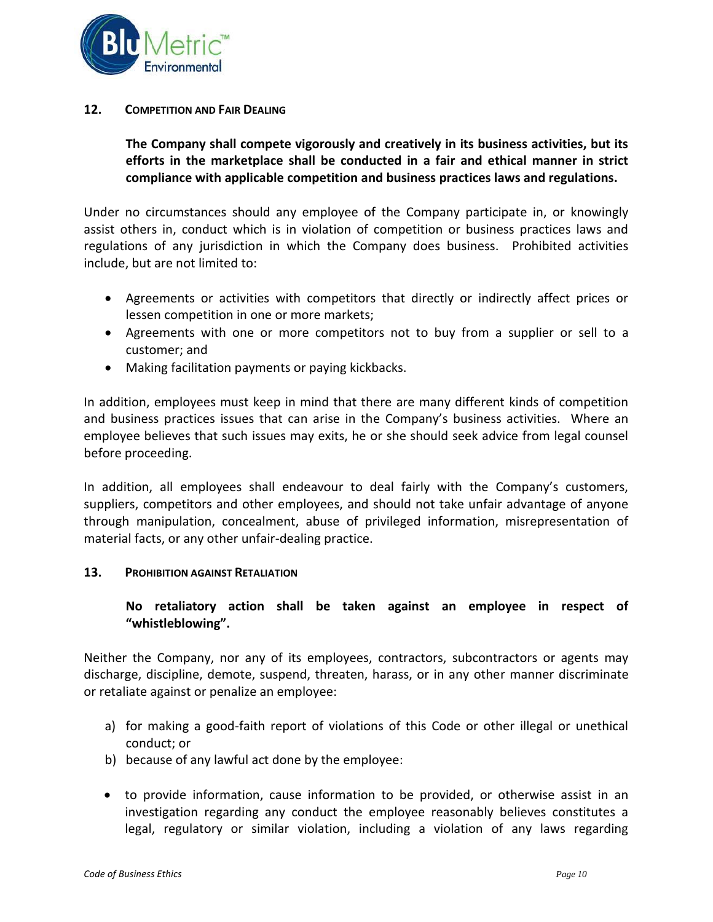

#### **12. COMPETITION AND FAIR DEALING**

**The Company shall compete vigorously and creatively in its business activities, but its efforts in the marketplace shall be conducted in a fair and ethical manner in strict compliance with applicable competition and business practices laws and regulations.**

Under no circumstances should any employee of the Company participate in, or knowingly assist others in, conduct which is in violation of competition or business practices laws and regulations of any jurisdiction in which the Company does business. Prohibited activities include, but are not limited to:

- Agreements or activities with competitors that directly or indirectly affect prices or lessen competition in one or more markets;
- Agreements with one or more competitors not to buy from a supplier or sell to a customer; and
- Making facilitation payments or paying kickbacks.

In addition, employees must keep in mind that there are many different kinds of competition and business practices issues that can arise in the Company's business activities. Where an employee believes that such issues may exits, he or she should seek advice from legal counsel before proceeding.

In addition, all employees shall endeavour to deal fairly with the Company's customers, suppliers, competitors and other employees, and should not take unfair advantage of anyone through manipulation, concealment, abuse of privileged information, misrepresentation of material facts, or any other unfair-dealing practice.

### **13. PROHIBITION AGAINST RETALIATION**

### **No retaliatory action shall be taken against an employee in respect of "whistleblowing".**

Neither the Company, nor any of its employees, contractors, subcontractors or agents may discharge, discipline, demote, suspend, threaten, harass, or in any other manner discriminate or retaliate against or penalize an employee:

- a) for making a good-faith report of violations of this Code or other illegal or unethical conduct; or
- b) because of any lawful act done by the employee:
- to provide information, cause information to be provided, or otherwise assist in an investigation regarding any conduct the employee reasonably believes constitutes a legal, regulatory or similar violation, including a violation of any laws regarding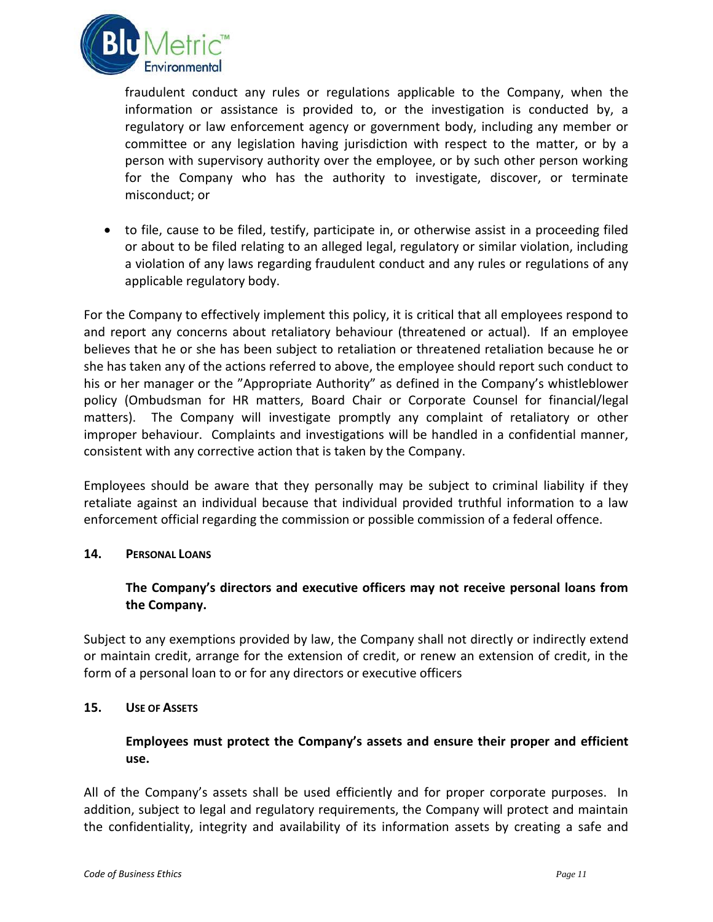

fraudulent conduct any rules or regulations applicable to the Company, when the information or assistance is provided to, or the investigation is conducted by, a regulatory or law enforcement agency or government body, including any member or committee or any legislation having jurisdiction with respect to the matter, or by a person with supervisory authority over the employee, or by such other person working for the Company who has the authority to investigate, discover, or terminate misconduct; or

• to file, cause to be filed, testify, participate in, or otherwise assist in a proceeding filed or about to be filed relating to an alleged legal, regulatory or similar violation, including a violation of any laws regarding fraudulent conduct and any rules or regulations of any applicable regulatory body.

For the Company to effectively implement this policy, it is critical that all employees respond to and report any concerns about retaliatory behaviour (threatened or actual). If an employee believes that he or she has been subject to retaliation or threatened retaliation because he or she has taken any of the actions referred to above, the employee should report such conduct to his or her manager or the "Appropriate Authority" as defined in the Company's whistleblower policy (Ombudsman for HR matters, Board Chair or Corporate Counsel for financial/legal matters). The Company will investigate promptly any complaint of retaliatory or other improper behaviour. Complaints and investigations will be handled in a confidential manner, consistent with any corrective action that is taken by the Company.

Employees should be aware that they personally may be subject to criminal liability if they retaliate against an individual because that individual provided truthful information to a law enforcement official regarding the commission or possible commission of a federal offence.

### **14. PERSONAL LOANS**

# **The Company's directors and executive officers may not receive personal loans from the Company.**

Subject to any exemptions provided by law, the Company shall not directly or indirectly extend or maintain credit, arrange for the extension of credit, or renew an extension of credit, in the form of a personal loan to or for any directors or executive officers

### **15. USE OF ASSETS**

**Employees must protect the Company's assets and ensure their proper and efficient use.**

All of the Company's assets shall be used efficiently and for proper corporate purposes. In addition, subject to legal and regulatory requirements, the Company will protect and maintain the confidentiality, integrity and availability of its information assets by creating a safe and